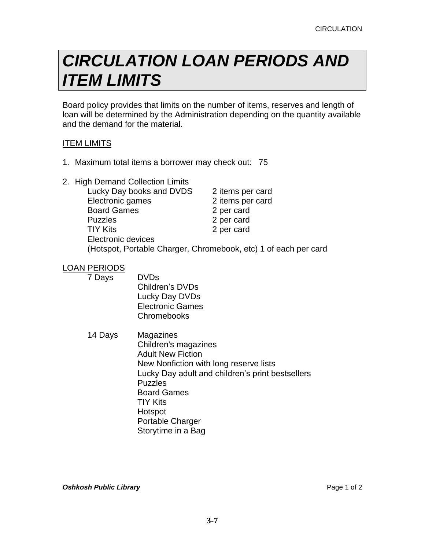# *CIRCULATION LOAN PERIODS AND ITEM LIMITS*

Board policy provides that limits on the number of items, reserves and length of loan will be determined by the Administration depending on the quantity available and the demand for the material.

## ITEM LIMITS

- 1. Maximum total items a borrower may check out: 75
- 2. High Demand Collection Limits

| Lucky Day books and DVDS | 2 items per card                                                |
|--------------------------|-----------------------------------------------------------------|
| Electronic games         | 2 items per card                                                |
| <b>Board Games</b>       | 2 per card                                                      |
| <b>Puzzles</b>           | 2 per card                                                      |
| <b>TIY Kits</b>          | 2 per card                                                      |
| Electronic devices       |                                                                 |
|                          | (Hotspot, Portable Charger, Chromebook, etc) 1 of each per card |

### LOAN PERIODS

7 Days DVDs Children's DVDs Lucky Day DVDs Electronic Games **Chromebooks** 

14 Days Magazines Children's magazines Adult New Fiction New Nonfiction with long reserve lists Lucky Day adult and children's print bestsellers Puzzles Board Games TIY Kits Hotspot Portable Charger Storytime in a Bag